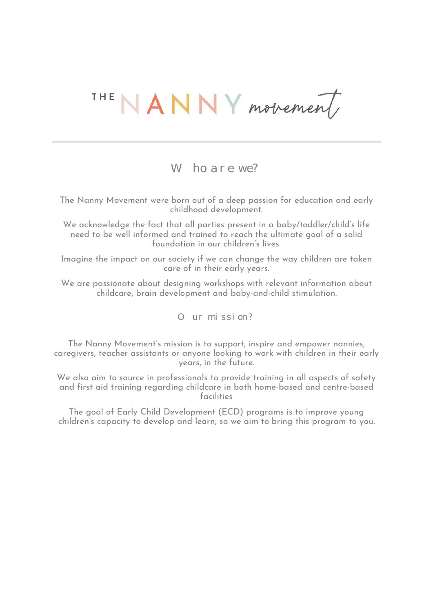## THE NANNY movement

## W ho are we?

The Nanny Movement were born out of a deep passion for education and early childhood development.

We acknowledge the fact that all parties present in a baby/toddler/child's life need to be well informed and trained to reach the ultimate goal of a solid foundation in our children's lives.

Imagine the impact on our society if we can change the way children are taken care of in their early years.

We are passionate about designing workshops with relevant information about childcare, brain development and baby-and-child stimulation.

Our mission?

The Nanny Movement's mission is to support, inspire and empower nannies, caregivers, teacher assistants or anyone looking to work with children in their early years, in the future.

We also aim to source in professionals to provide training in all aspects of safety and first aid training regarding childcare in both home-based and centre-based facilities

The goal of Early Child Development (ECD) programs is to improve young children's capacity to develop and learn, so we aim to bring this program to you.